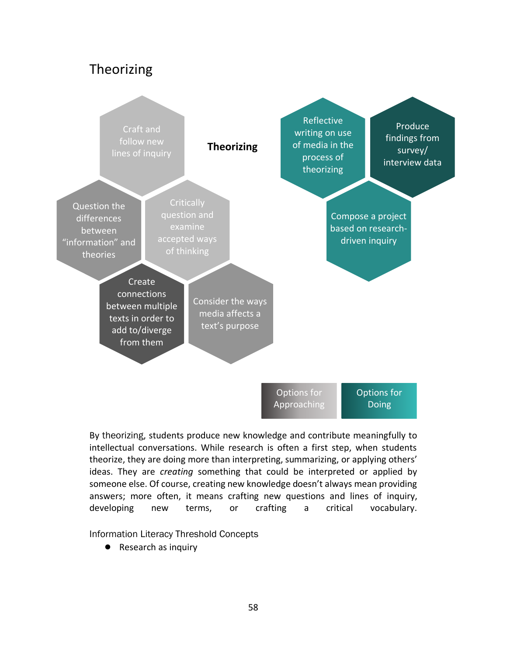## Theorizing



By theorizing, students produce new knowledge and contribute meaningfully to intellectual conversations. While research is often a first step, when students theorize, they are doing more than interpreting, summarizing, or applying others' ideas. They are *creating* something that could be interpreted or applied by someone else. Of course, creating new knowledge doesn't always mean providing answers; more often, it means crafting new questions and lines of inquiry, developing new terms, or crafting a critical vocabulary.

Information Literacy Threshold Concepts

● Research as inquiry